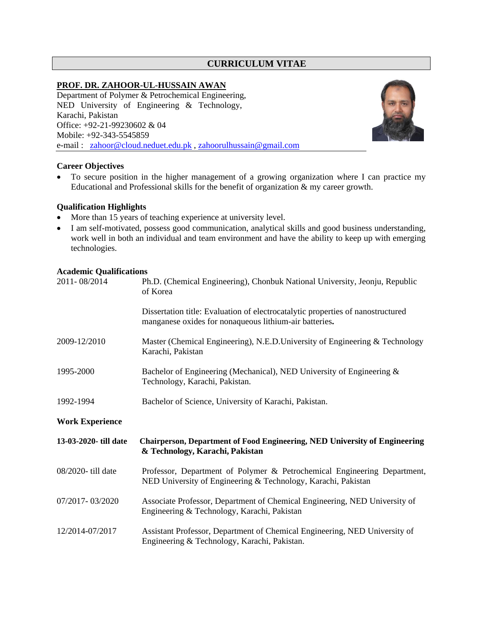# **CURRICULUM VITAE**

# **PROF. DR. ZAHOOR-UL-HUSSAIN AWAN**

Department of Polymer & Petrochemical Engineering, NED University of Engineering & Technology, Karachi, Pakistan Office: +92-21-99230602 & 04 Mobile: +92-343-5545859 e-mail : [zahoor@cloud.neduet.edu.pk](mailto:zahoor@cloud.neduet.edu.pk) , zahoorulhussain@gmail.com



# **Career Objectives**

• To secure position in the higher management of a growing organization where I can practice my Educational and Professional skills for the benefit of organization & my career growth.

# **Qualification Highlights**

- More than 15 years of teaching experience at university level.
- I am self-motivated, possess good communication, analytical skills and good business understanding, work well in both an individual and team environment and have the ability to keep up with emerging technologies.

# **Academic Qualifications**

| 2011-08/2014           | Ph.D. (Chemical Engineering), Chonbuk National University, Jeonju, Republic<br>of Korea                                                   |
|------------------------|-------------------------------------------------------------------------------------------------------------------------------------------|
|                        | Dissertation title: Evaluation of electrocatalytic properties of nanostructured<br>manganese oxides for nonaqueous lithium-air batteries. |
| 2009-12/2010           | Master (Chemical Engineering), N.E.D. University of Engineering & Technology<br>Karachi, Pakistan                                         |
| 1995-2000              | Bachelor of Engineering (Mechanical), NED University of Engineering &<br>Technology, Karachi, Pakistan.                                   |
| 1992-1994              | Bachelor of Science, University of Karachi, Pakistan.                                                                                     |
|                        |                                                                                                                                           |
| <b>Work Experience</b> |                                                                                                                                           |
| 13-03-2020- till date  | <b>Chairperson, Department of Food Engineering, NED University of Engineering</b><br>& Technology, Karachi, Pakistan                      |
| 08/2020- till date     | Professor, Department of Polymer & Petrochemical Engineering Department,<br>NED University of Engineering & Technology, Karachi, Pakistan |
| 07/2017-03/2020        | Associate Professor, Department of Chemical Engineering, NED University of<br>Engineering & Technology, Karachi, Pakistan                 |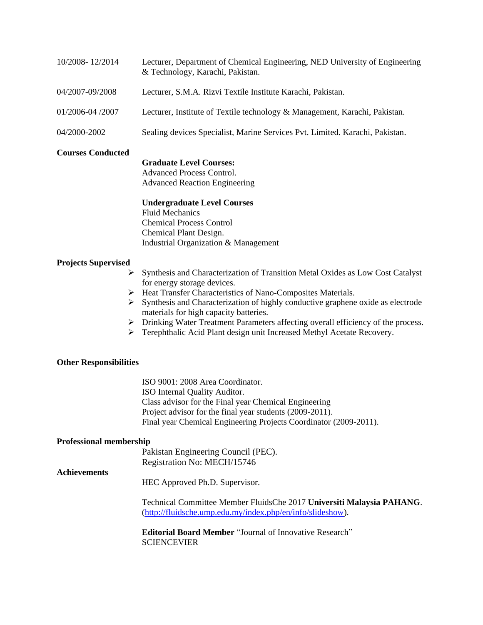| 10/2008-12/2014  | Lecturer, Department of Chemical Engineering, NED University of Engineering<br>& Technology, Karachi, Pakistan. |
|------------------|-----------------------------------------------------------------------------------------------------------------|
| 04/2007-09/2008  | Lecturer, S.M.A. Rizvi Textile Institute Karachi, Pakistan.                                                     |
| 01/2006-04 /2007 | Lecturer, Institute of Textile technology & Management, Karachi, Pakistan.                                      |
| 04/2000-2002     | Sealing devices Specialist, Marine Services Pvt. Limited. Karachi, Pakistan.                                    |

# **Courses Conducted**

#### **Graduate Level Courses:**

Advanced Process Control. Advanced Reaction Engineering

# **Undergraduate Level Courses**

Fluid Mechanics Chemical Process Control Chemical Plant Design. Industrial Organization & Management

# **Projects Supervised**

- ➢ Synthesis and Characterization of Transition Metal Oxides as Low Cost Catalyst for energy storage devices.
- ➢ Heat Transfer Characteristics of Nano-Composites Materials.
- ➢ Synthesis and Characterization of highly conductive graphene oxide as electrode materials for high capacity batteries.
- ➢ Drinking Water Treatment Parameters affecting overall efficiency of the process.
- ➢ Terephthalic Acid Plant design unit Increased Methyl Acetate Recovery.

#### **Other Responsibilities**

ISO 9001: 2008 Area Coordinator. ISO Internal Quality Auditor. Class advisor for the Final year Chemical Engineering Project advisor for the final year students (2009-2011). Final year Chemical Engineering Projects Coordinator (2009-2011).

#### **Professional membership**

Pakistan Engineering Council (PEC). Registration No: MECH/15746

#### **Achievements**

HEC Approved Ph.D. Supervisor.

Technical Committee Member FluidsChe 2017 **Universiti Malaysia PAHANG**. [\(http://fluidsche.ump.edu.my/index.php/en/info/slideshow\)](http://fluidsche.ump.edu.my/index.php/en/info/slideshow).

**Editorial Board Member** "Journal of Innovative Research" **SCIENCEVIER**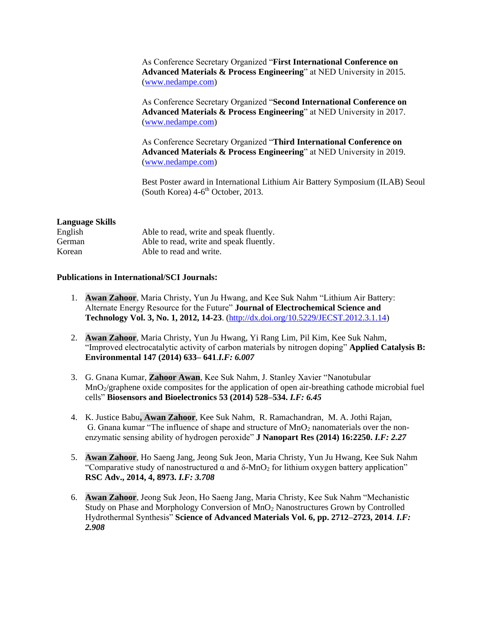As Conference Secretary Organized "**First International Conference on Advanced Materials & Process Engineering**" at NED University in 2015. [\(www.nedampe.com\)](http://www.nedampe.com/)

As Conference Secretary Organized "**Second International Conference on Advanced Materials & Process Engineering**" at NED University in 2017. [\(www.nedampe.com\)](http://www.nedampe.com/)

As Conference Secretary Organized "**Third International Conference on Advanced Materials & Process Engineering**" at NED University in 2019. [\(www.nedampe.com\)](http://www.nedampe.com/)

Best Poster award in International Lithium Air Battery Symposium (ILAB) Seoul (South Korea)  $4\n-6$ <sup>th</sup> October, 2013.

#### **Language Skills**

| English | Able to read, write and speak fluently. |
|---------|-----------------------------------------|
| German  | Able to read, write and speak fluently. |
| Korean  | Able to read and write.                 |

#### **Publications in International/SCI Journals:**

- 1. **Awan Zahoor**, Maria Christy, Yun Ju Hwang, and Kee Suk Nahm "Lithium Air Battery: Alternate Energy Resource for the Future" **Journal of Electrochemical Science and Technology Vol. 3, No. 1, 2012, 14-23**. [\(http://dx.doi.org/10.5229/JECST.2012.3.1.14\)](http://dx.doi.org/10.5229/JECST.2012.3.1.14)
- 2. **Awan Zahoor**, Maria Christy, Yun Ju Hwang, Yi Rang Lim, Pil Kim, Kee Suk Nahm, "Improved electrocatalytic activity of carbon materials by nitrogen doping" **Applied Catalysis B: Environmental 147 (2014) 633– 641**.*I.F: 6.007*
- 3. G. Gnana Kumar, **Zahoor Awan**, Kee Suk Nahm, J. Stanley Xavier ["Nanotubular](http://www.sciencedirect.com/science/article/pii/S0956566313007045)  MnO<sub>2</sub>/graphene oxide composites for the application of open air-breathing cathode microbial fuel [cells"](http://www.sciencedirect.com/science/article/pii/S0956566313007045) **Biosensors and Bioelectronics 53 (2014) 528–534.** *I.F: 6.45*
- 4. K. Justice Babu**, Awan Zahoor**, Kee Suk Nahm, R. Ramachandran, M. A. Jothi Rajan, G. Gnana kumar "The influence of shape and structure of  $MnO<sub>2</sub>$  nanomaterials over the nonenzymatic sensing ability of hydrogen peroxide" **J Nanopart Res (2014) 16:2250.** *I.F: 2.27*
- 5. **Awan Zahoor**, Ho Saeng Jang, Jeong Suk Jeon, Maria Christy, Yun Ju Hwang, Kee Suk Nahm "Comparative study of nanostructured  $\alpha$  and  $\delta$ -MnO<sub>2</sub> for lithium oxygen battery application" **RSC Adv., 2014, 4, 8973.** *I.F: 3.708*
- 6. **Awan Zahoor**, Jeong Suk Jeon, Ho Saeng Jang, Maria Christy, Kee Suk Nahm "Mechanistic Study on Phase and Morphology Conversion of MnO<sup>2</sup> Nanostructures Grown by Controlled Hydrothermal Synthesis" **Science of Advanced Materials Vol. 6, pp. 2712–2723, 2014**. *I.F: 2.908*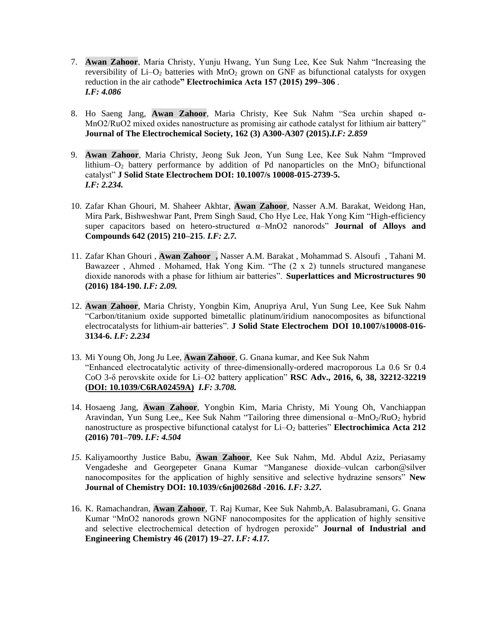- 7. **Awan Zahoor**, Maria Christy, Yunju Hwang, Yun Sung Lee, Kee Suk Nahm "Increasing the reversibility of  $Li-O<sub>2</sub>$  batteries with  $MnO<sub>2</sub>$  grown on GNF as bifunctional catalysts for oxygen reduction in the air cathode**" Electrochimica Acta 157 (2015) 299–306** . *I.F: 4.086*
- 8. Ho Saeng Jang, **Awan Zahoor**, Maria Christy, Kee Suk Nahm "Sea urchin shaped α-MnO2/RuO2 mixed oxides nanostructure as promising air cathode catalyst for lithium air battery" **Journal of The Electrochemical Society, 162 (3) A300-A307 (2015).***I.F: 2.859*
- 9. **Awan Zahoor**, Maria Christy, Jeong Suk Jeon, Yun Sung Lee, Kee Suk Nahm "Improved lithium–O<sub>2</sub> battery performance by addition of Pd nanoparticles on the  $MnO<sub>2</sub>$  bifunctional catalyst" **J Solid State Electrochem DOI: 10.1007/s 10008-015-2739-5.**  *I.F: 2.234.*
- 10. Zafar Khan Ghouri, M. Shaheer Akhtar, **Awan Zahoor**, Nasser A.M. Barakat, Weidong Han, Mira Park, Bishweshwar Pant, Prem Singh Saud, Cho Hye Lee, Hak Yong Kim "High-efficiency super capacitors based on hetero-structured α–MnO2 nanorods" **Journal of Alloys and Compounds 642 (2015) 210–215.** *I.F: 2.7.*
- 11. Zafar Khan Ghouri , **Awan Zahoor ,** Nasser A.M. Barakat , Mohammad S. Alsoufi , Tahani M. Bawazeer , Ahmed . Mohamed, Hak Yong Kim. "The (2 x 2) tunnels structured manganese dioxide nanorods with a phase for lithium air batteries". **Superlattices and Microstructures 90 (2016) 184-190.** *I.F: 2.09.*
- 12. **Awan Zahoor**, Maria Christy, Yongbin Kim, Anupriya Arul, Yun Sung Lee, Kee Suk Nahm "Carbon/titanium oxide supported bimetallic platinum/iridium nanocomposites as bifunctional electrocatalysts for lithium-air batteries". **J Solid State Electrochem DOI 10.1007/s10008-016- 3134-6.** *I.F: 2.234*
- 13. Mi Young Oh, Jong Ju Lee, **Awan Zahoor**, G. Gnana kumar, and Kee Suk Nahm "Enhanced electrocatalytic activity of three-dimensionally-ordered macroporous La 0.6 Sr 0.4 CoO 3-δ perovskite oxide for Li–O2 battery application" **RSC Adv., 2016, 6, 38, 32212-32219 (DOI: 10.1039/C6RA02459A)** *I.F: 3.708.*
- 14. Hosaeng Jang, **Awan Zahoor**, Yongbin Kim, Maria Christy, Mi Young Oh, Vanchiappan Aravindan, Yun Sung Lee,, Kee Suk Nahm "Tailoring three dimensional α-MnO<sub>2</sub>/RuO<sub>2</sub> hybrid nanostructure as prospective bifunctional catalyst for Li–O<sub>2</sub> batteries" **Electrochimica Acta 212 (2016) 701–709.** *I.F: 4.504*
- *15.* Kaliyamoorthy Justice Babu, **Awan Zahoor**, Kee Suk Nahm, Md. Abdul Aziz, Periasamy Vengadeshe and Georgepeter Gnana Kumar "Manganese dioxide–vulcan carbon@silver nanocomposites for the application of highly sensitive and selective hydrazine sensors" **New Journal of Chemistry DOI: 10.1039/c6nj00268d -2016.** *I.F: 3.27.*
- 16. K. Ramachandran, **Awan Zahoor**, T. Raj Kumar, Kee Suk Nahmb,A. Balasubramani, G. Gnana Kumar "MnO2 nanorods grown NGNF nanocomposites for the application of highly sensitive and selective electrochemical detection of hydrogen peroxide" **Journal of Industrial and Engineering Chemistry 46 (2017) 19–27.** *I.F: 4.17.*